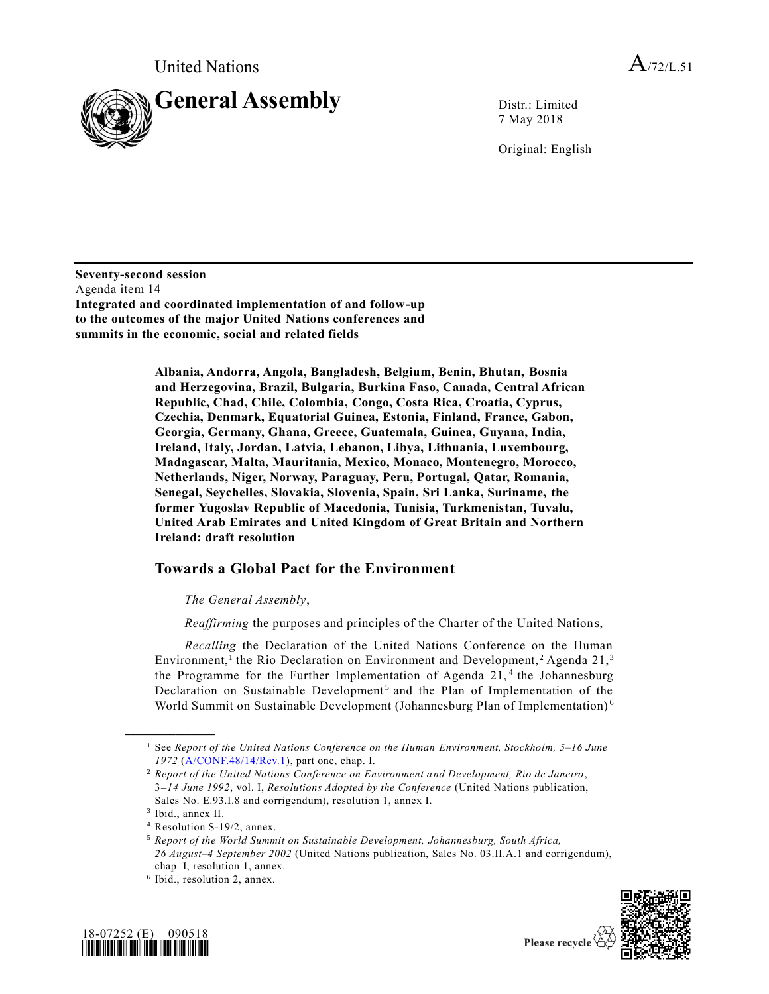

7 May 2018

Original: English

**Seventy-second session** Agenda item 14 **Integrated and coordinated implementation of and follow-up to the outcomes of the major United Nations conferences and summits in the economic, social and related fields**

> **Albania, Andorra, Angola, Bangladesh, Belgium, Benin, Bhutan, Bosnia and Herzegovina, Brazil, Bulgaria, Burkina Faso, Canada, Central African Republic, Chad, Chile, Colombia, Congo, Costa Rica, Croatia, Cyprus, Czechia, Denmark, Equatorial Guinea, Estonia, Finland, France, Gabon, Georgia, Germany, Ghana, Greece, Guatemala, Guinea, Guyana, India, Ireland, Italy, Jordan, Latvia, Lebanon, Libya, Lithuania, Luxembourg, Madagascar, Malta, Mauritania, Mexico, Monaco, Montenegro, Morocco, Netherlands, Niger, Norway, Paraguay, Peru, Portugal, Qatar, Romania, Senegal, Seychelles, Slovakia, Slovenia, Spain, Sri Lanka, Suriname, the former Yugoslav Republic of Macedonia, Tunisia, Turkmenistan, Tuvalu, United Arab Emirates and United Kingdom of Great Britain and Northern Ireland: draft resolution**

## **Towards a Global Pact for the Environment**

*The General Assembly*,

*Reaffirming* the purposes and principles of the Charter of the United Nations,

*Recalling* the Declaration of the United Nations Conference on the Human Environment,<sup>1</sup> the Rio Declaration on Environment and Development,<sup>2</sup> Agenda 21,<sup>3</sup> the Programme for the Further Implementation of Agenda 21,<sup>4</sup> the Johannesburg Declaration on Sustainable Development<sup>5</sup> and the Plan of Implementation of the World Summit on Sustainable Development (Johannesburg Plan of Implementation) <sup>6</sup>

**\_\_\_\_\_\_\_\_\_\_\_\_\_\_\_\_\_\_**

<sup>6</sup> Ibid., resolution 2, annex.





<sup>1</sup> See *Report of the United Nations Conference on the Human Environment, Stockholm, 5–16 June 1972* [\(A/CONF.48/14/Rev.1\)](https://undocs.org/A/CONF.48/14/Rev.1), part one, chap. I.

<sup>2</sup> *Report of the United Nations Conference on Environment and Development, Rio de Janeiro*, 3−*14 June 1992*, vol. I, *Resolutions Adopted by the Conference* (United Nations publication, Sales No. E.93.I.8 and corrigendum), resolution 1, annex I.

<sup>3</sup> Ibid., annex II.

<sup>4</sup> Resolution S-19/2, annex.

<sup>5</sup> *Report of the World Summit on Sustainable Development, Johannesburg, South Africa, 26 August–4 September 2002* (United Nations publication, Sales No. 03.II.A.1 and corrigendum), chap. I, resolution 1, annex.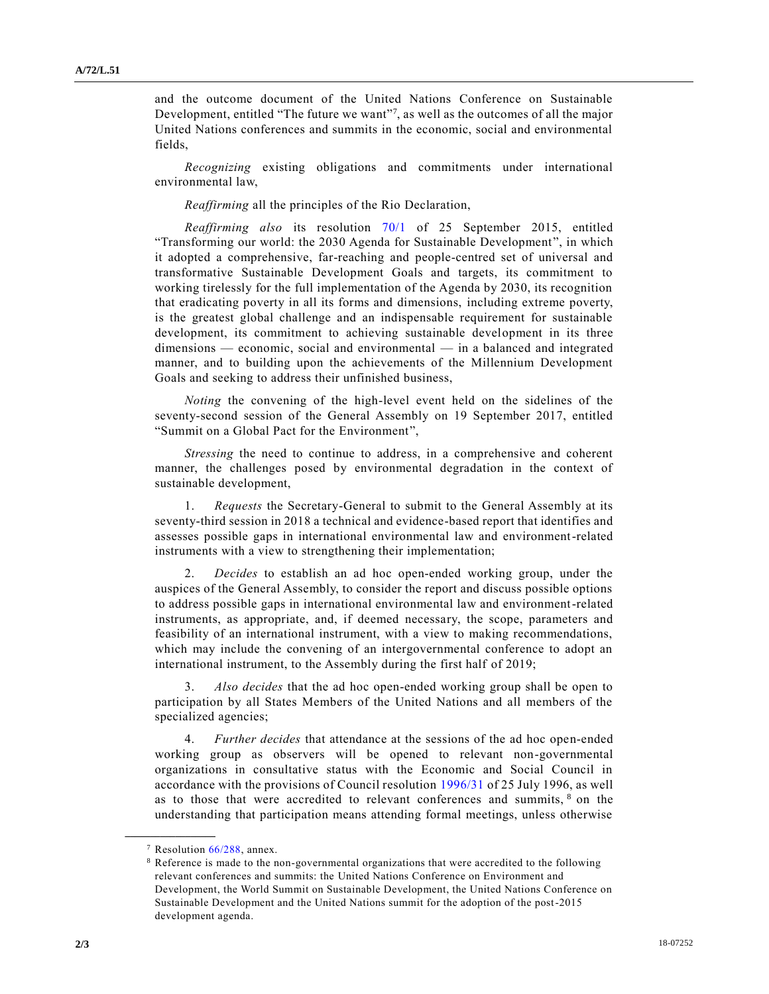and the outcome document of the United Nations Conference on Sustainable Development, entitled "The future we want"<sup>7</sup>, as well as the outcomes of all the major United Nations conferences and summits in the economic, social and environmental fields,

*Recognizing* existing obligations and commitments under international environmental law,

*Reaffirming* all the principles of the Rio Declaration,

*Reaffirming also* its resolution [70/1](https://undocs.org/A/RES/70/1) of 25 September 2015, entitled "Transforming our world: the 2030 Agenda for Sustainable Development", in which it adopted a comprehensive, far-reaching and people-centred set of universal and transformative Sustainable Development Goals and targets, its commitment to working tirelessly for the full implementation of the Agenda by 2030, its recognition that eradicating poverty in all its forms and dimensions, including extreme poverty, is the greatest global challenge and an indispensable requirement for sustainable development, its commitment to achieving sustainable development in its three dimensions — economic, social and environmental — in a balanced and integrated manner, and to building upon the achievements of the Millennium Development Goals and seeking to address their unfinished business,

*Noting* the convening of the high-level event held on the sidelines of the seventy-second session of the General Assembly on 19 September 2017, entitled "Summit on a Global Pact for the Environment",

*Stressing* the need to continue to address, in a comprehensive and coherent manner, the challenges posed by environmental degradation in the context of sustainable development,

1. *Requests* the Secretary-General to submit to the General Assembly at its seventy-third session in 2018 a technical and evidence-based report that identifies and assesses possible gaps in international environmental law and environment-related instruments with a view to strengthening their implementation;

2. *Decides* to establish an ad hoc open-ended working group, under the auspices of the General Assembly, to consider the report and discuss possible options to address possible gaps in international environmental law and environment-related instruments, as appropriate, and, if deemed necessary, the scope, parameters and feasibility of an international instrument, with a view to making recommendations, which may include the convening of an intergovernmental conference to adopt an international instrument, to the Assembly during the first half of 2019;

3. *Also decides* that the ad hoc open-ended working group shall be open to participation by all States Members of the United Nations and all members of the specialized agencies;

4. *Further decides* that attendance at the sessions of the ad hoc open-ended working group as observers will be opened to relevant non-governmental organizations in consultative status with the Economic and Social Council in accordance with the provisions of Council resolution [1996/31](https://undocs.org/E/RES/1996/31) of 25 July 1996, as well as to those that were accredited to relevant conferences and summits,  $8$  on the understanding that participation means attending formal meetings, unless otherwise

**\_\_\_\_\_\_\_\_\_\_\_\_\_\_\_\_\_\_**

<sup>7</sup> Resolution [66/288,](https://undocs.org/A/RES/66/288) annex.

 $8$  Reference is made to the non-governmental organizations that were accredited to the following relevant conferences and summits: the United Nations Conference on Environment and Development, the World Summit on Sustainable Development, the United Nations Conference on Sustainable Development and the United Nations summit for the adoption of the post-2015 development agenda.